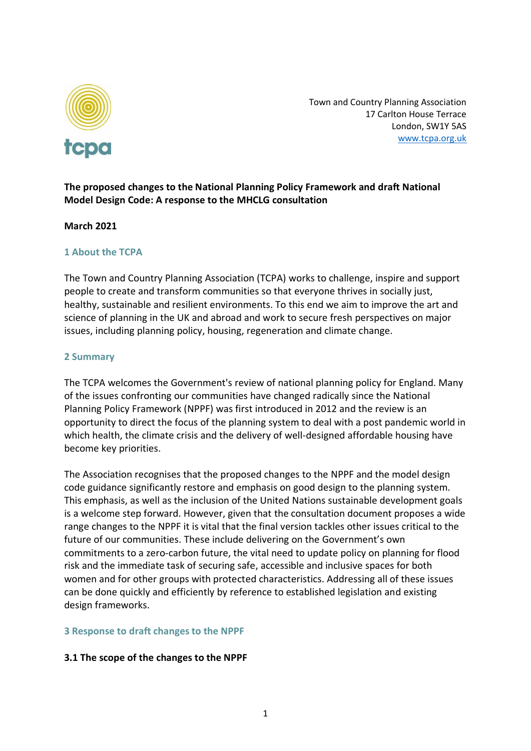

Town and Country Planning Association 17 Carlton House Terrace London, SW1Y 5AS [www.tcpa.org.uk](http://www.tcpa.org.uk/)

# **The proposed changes to the National Planning Policy Framework and draft National Model Design Code: A response to the MHCLG consultation**

### **March 2021**

### **1 About the TCPA**

The Town and Country Planning Association (TCPA) works to challenge, inspire and support people to create and transform communities so that everyone thrives in socially just, healthy, sustainable and resilient environments. To this end we aim to improve the art and science of planning in the UK and abroad and work to secure fresh perspectives on major issues, including planning policy, housing, regeneration and climate change.

#### **2 Summary**

The TCPA welcomes the Government's review of national planning policy for England. Many of the issues confronting our communities have changed radically since the National Planning Policy Framework (NPPF) was first introduced in 2012 and the review is an opportunity to direct the focus of the planning system to deal with a post pandemic world in which health, the climate crisis and the delivery of well-designed affordable housing have become key priorities.

The Association recognises that the proposed changes to the NPPF and the model design code guidance significantly restore and emphasis on good design to the planning system. This emphasis, as well as the inclusion of the United Nations sustainable development goals is a welcome step forward. However, given that the consultation document proposes a wide range changes to the NPPF it is vital that the final version tackles other issues critical to the future of our communities. These include delivering on the Government's own commitments to a zero-carbon future, the vital need to update policy on planning for flood risk and the immediate task of securing safe, accessible and inclusive spaces for both women and for other groups with protected characteristics. Addressing all of these issues can be done quickly and efficiently by reference to established legislation and existing design frameworks.

#### **3 Response to draft changes to the NPPF**

## **3.1 The scope of the changes to the NPPF**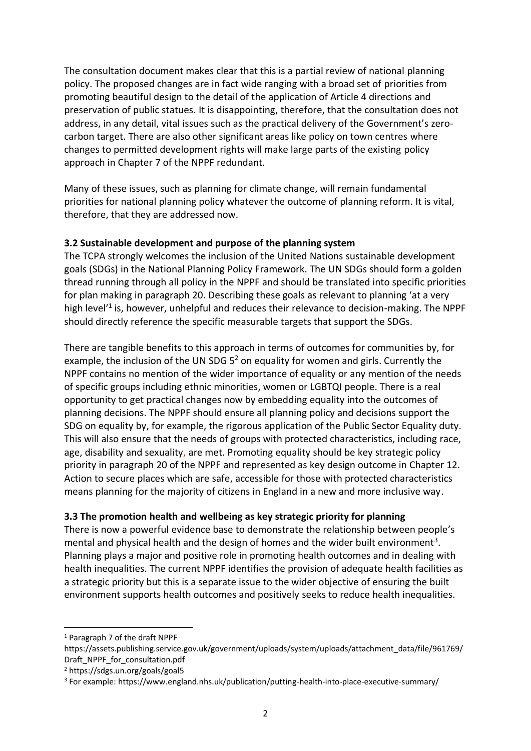The consultation document makes clear that this is a partial review of national planning policy. The proposed changes are in fact wide ranging with a broad set of priorities from promoting beautiful design to the detail of the application of Article 4 directions and preservation of public statues. It is disappointing, therefore, that the consultation does not address, in any detail, vital issues such as the practical delivery of the Government's zerocarbon target. There are also other significant areas like policy on town centres where changes to permitted development rights will make large parts of the existing policy approach in Chapter 7 of the NPPF redundant.

Many of these issues, such as planning for climate change, will remain fundamental priorities for national planning policy whatever the outcome of planning reform. It is vital, therefore, that they are addressed now.

## **3.2 Sustainable development and purpose of the planning system**

The TCPA strongly welcomes the inclusion of the United Nations sustainable development goals (SDGs) in the National Planning Policy Framework. The UN SDGs should form a golden thread running through all policy in the NPPF and should be translated into specific priorities for plan making in paragraph 20. Describing these goals as relevant to planning 'at a very high level<sup>'1</sup> is, however, unhelpful and reduces their relevance to decision-making. The NPPF should directly reference the specific measurable targets that support the SDGs.

There are tangible benefits to this approach in terms of outcomes for communities by, for example, the inclusion of the UN SDG  $5<sup>2</sup>$  on equality for women and girls. Currently the NPPF contains no mention of the wider importance of equality or any mention of the needs of specific groups including ethnic minorities, women or LGBTQI people. There is a real opportunity to get practical changes now by embedding equality into the outcomes of planning decisions. The NPPF should ensure all planning policy and decisions support the SDG on equality by, for example, the rigorous application of the Public Sector Equality duty. This will also ensure that the needs of groups with protected characteristics, including race, age, disability and sexuality, are met. Promoting equality should be key strategic policy priority in paragraph 20 of the NPPF and represented as key design outcome in Chapter 12. Action to secure places which are safe, accessible for those with protected characteristics means planning for the majority of citizens in England in a new and more inclusive way.

# **3.3 The promotion health and wellbeing as key strategic priority for planning**

There is now a powerful evidence base to demonstrate the relationship between people's mental and physical health and the design of homes and the wider built environment<sup>3</sup>. Planning plays a major and positive role in promoting health outcomes and in dealing with health inequalities. The current NPPF identifies the provision of adequate health facilities as a strategic priority but this is a separate issue to the wider objective of ensuring the built environment supports health outcomes and positively seeks to reduce health inequalities.

<sup>1</sup> Paragraph 7 of the draft NPPF

https://assets.publishing.service.gov.uk/government/uploads/system/uploads/attachment\_data/file/961769/ Draft\_NPPF\_for\_consultation.pdf

<sup>2</sup> https://sdgs.un.org/goals/goal5

<sup>3</sup> For example: https://www.england.nhs.uk/publication/putting-health-into-place-executive-summary/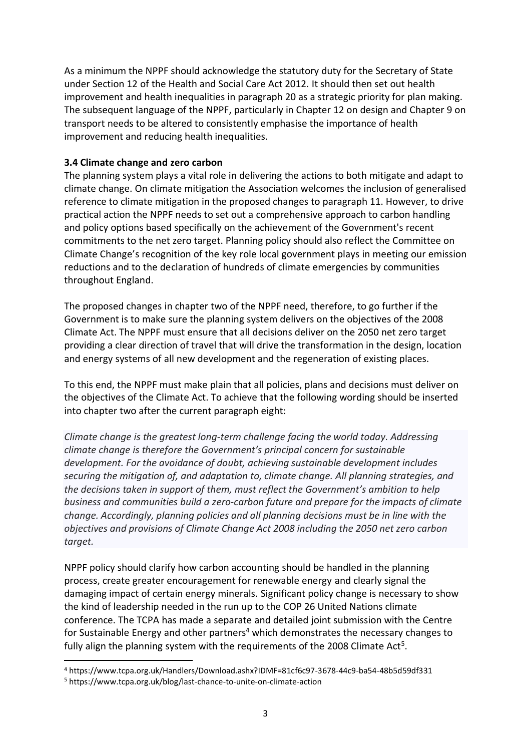As a minimum the NPPF should acknowledge the statutory duty for the Secretary of State under Section 12 of the Health and Social Care Act 2012. It should then set out health improvement and health inequalities in paragraph 20 as a strategic priority for plan making. The subsequent language of the NPPF, particularly in Chapter 12 on design and Chapter 9 on transport needs to be altered to consistently emphasise the importance of health improvement and reducing health inequalities.

## **3.4 Climate change and zero carbon**

The planning system plays a vital role in delivering the actions to both mitigate and adapt to climate change. On climate mitigation the Association welcomes the inclusion of generalised reference to climate mitigation in the proposed changes to paragraph 11. However, to drive practical action the NPPF needs to set out a comprehensive approach to carbon handling and policy options based specifically on the achievement of the Government's recent commitments to the net zero target. Planning policy should also reflect the Committee on Climate Change's recognition of the key role local government plays in meeting our emission reductions and to the declaration of hundreds of climate emergencies by communities throughout England.

The proposed changes in chapter two of the NPPF need, therefore, to go further if the Government is to make sure the planning system delivers on the objectives of the 2008 Climate Act. The NPPF must ensure that all decisions deliver on the 2050 net zero target providing a clear direction of travel that will drive the transformation in the design, location and energy systems of all new development and the regeneration of existing places.

To this end, the NPPF must make plain that all policies, plans and decisions must deliver on the objectives of the Climate Act. To achieve that the following wording should be inserted into chapter two after the current paragraph eight:

*Climate change is the greatest long-term challenge facing the world today. Addressing climate change is therefore the Government's principal concern for sustainable development. For the avoidance of doubt, achieving sustainable development includes securing the mitigation of, and adaptation to, climate change. All planning strategies, and the decisions taken in support of them, must reflect the Government's ambition to help business and communities build a zero-carbon future and prepare for the impacts of climate change. Accordingly, planning policies and all planning decisions must be in line with the objectives and provisions of Climate Change Act 2008 including the 2050 net zero carbon target.*

NPPF policy should clarify how carbon accounting should be handled in the planning process, create greater encouragement for renewable energy and clearly signal the damaging impact of certain energy minerals. Significant policy change is necessary to show the kind of leadership needed in the run up to the COP 26 United Nations climate conference. The TCPA has made a separate and detailed joint submission with the Centre for Sustainable Energy and other partners<sup>4</sup> which demonstrates the necessary changes to fully align the planning system with the requirements of the 2008 Climate Act<sup>5</sup>.

<sup>4</sup> https://www.tcpa.org.uk/Handlers/Download.ashx?IDMF=81cf6c97-3678-44c9-ba54-48b5d59df331

<sup>5</sup> https://www.tcpa.org.uk/blog/last-chance-to-unite-on-climate-action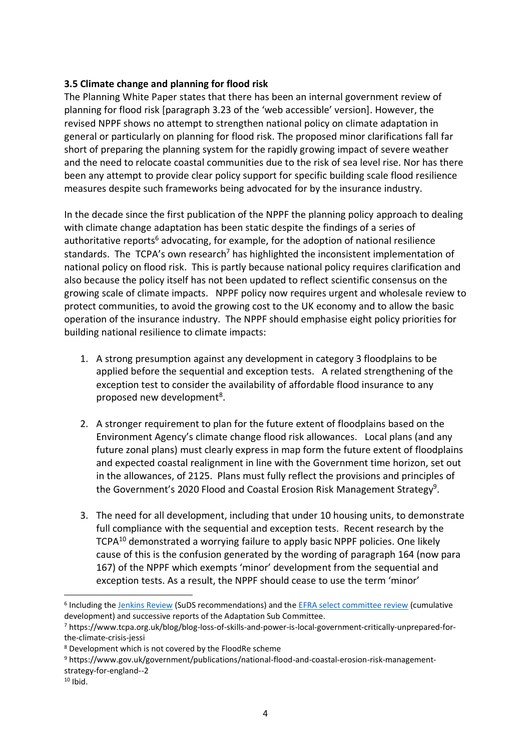## **3.5 Climate change and planning for flood risk**

The Planning White Paper states that there has been an internal government review of planning for flood risk [paragraph 3.23 of the 'web accessible' version]. However, the revised NPPF shows no attempt to strengthen national policy on climate adaptation in general or particularly on planning for flood risk. The proposed minor clarifications fall far short of preparing the planning system for the rapidly growing impact of severe weather and the need to relocate coastal communities due to the risk of sea level rise. Nor has there been any attempt to provide clear policy support for specific building scale flood resilience measures despite such frameworks being advocated for by the insurance industry.

In the decade since the first publication of the NPPF the planning policy approach to dealing with climate change adaptation has been static despite the findings of a series of authoritative reports $6$  advocating, for example, for the adoption of national resilience standards. The TCPA's own research<sup>7</sup> has highlighted the inconsistent implementation of national policy on flood risk. This is partly because national policy requires clarification and also because the policy itself has not been updated to reflect scientific consensus on the growing scale of climate impacts. NPPF policy now requires urgent and wholesale review to protect communities, to avoid the growing cost to the UK economy and to allow the basic operation of the insurance industry. The NPPF should emphasise eight policy priorities for building national resilience to climate impacts:

- 1. A strong presumption against any development in category 3 floodplains to be applied before the sequential and exception tests. A related strengthening of the exception test to consider the availability of affordable flood insurance to any proposed new development<sup>8</sup>.
- 2. A stronger requirement to plan for the future extent of floodplains based on the Environment Agency's climate change flood risk allowances. Local plans (and any future zonal plans) must clearly express in map form the future extent of floodplains and expected coastal realignment in line with the Government time horizon, set out in the allowances, of 2125. Plans must fully reflect the provisions and principles of the Government's 2020 Flood and Coastal Erosion Risk Management Strategy<sup>9</sup>.
- 3. The need for all development, including that under 10 housing units, to demonstrate full compliance with the sequential and exception tests. Recent research by the TCPA<sup>10</sup> demonstrated a worrying failure to apply basic NPPF policies. One likely cause of this is the confusion generated by the wording of paragraph 164 (now para 167) of the NPPF which exempts 'minor' development from the sequential and exception tests. As a result, the NPPF should cease to use the term 'minor'

<sup>9</sup> https://www.gov.uk/government/publications/national-flood-and-coastal-erosion-risk-management-

<sup>&</sup>lt;sup>6</sup> Including th[e Jenkins Review](https://eur03.safelinks.protection.outlook.com/?url=https%3A%2F%2Fwww.gov.uk%2Fgovernment%2Fpublications%2Fsurface-water-and-drainage-review-of-responsibilities&data=04%7C01%7CHugh.Ellis%40tcpa.org.uk%7C0fc7a3b30409407a58ef08d8ee197c2d%7C7c8d1c3e6a2e4c60a232abd20d6e90ad%7C0%7C0%7C637521141409616705%7CUnknown%7CTWFpbGZsb3d8eyJWIjoiMC4wLjAwMDAiLCJQIjoiV2luMzIiLCJBTiI6Ik1haWwiLCJXVCI6Mn0%3D%7C1000&sdata=KwQNCCmW25gwFDN%2BC88kxQu0SJqGhkipmgv5Tx30aiU%3D&reserved=0) (SuDS recommendations) and the **EFRA select committee review** (cumulative development) and successive reports of the Adaptation Sub Committee.

<sup>7</sup> https://www.tcpa.org.uk/blog/blog-loss-of-skills-and-power-is-local-government-critically-unprepared-forthe-climate-crisis-jessi

<sup>8</sup> Development which is not covered by the FloodRe scheme

strategy-for-england--2

 $10$  Ibid.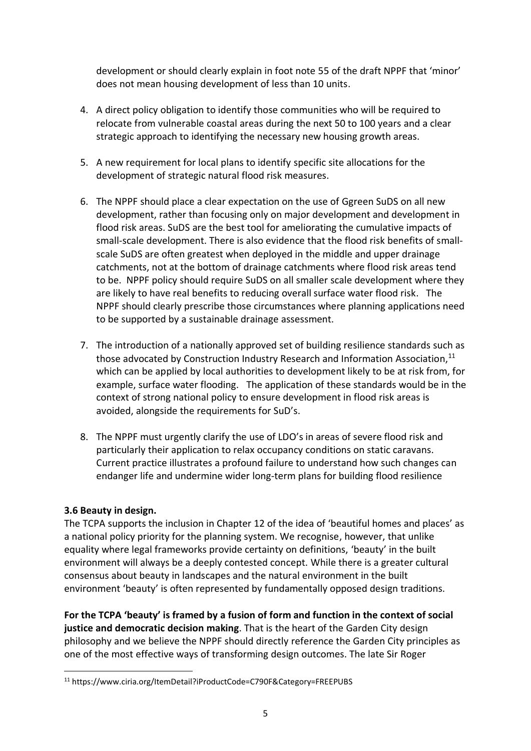development or should clearly explain in foot note 55 of the draft NPPF that 'minor' does not mean housing development of less than 10 units.

- 4. A direct policy obligation to identify those communities who will be required to relocate from vulnerable coastal areas during the next 50 to 100 years and a clear strategic approach to identifying the necessary new housing growth areas.
- 5. A new requirement for local plans to identify specific site allocations for the development of strategic natural flood risk measures.
- 6. The NPPF should place a clear expectation on the use of Ggreen SuDS on all new development, rather than focusing only on major development and development in flood risk areas. SuDS are the best tool for ameliorating the cumulative impacts of small-scale development. There is also evidence that the flood risk benefits of smallscale SuDS are often greatest when deployed in the middle and upper drainage catchments, not at the bottom of drainage catchments where flood risk areas tend to be. NPPF policy should require SuDS on all smaller scale development where they are likely to have real benefits to reducing overall surface water flood risk. The NPPF should clearly prescribe those circumstances where planning applications need to be supported by a sustainable drainage assessment.
- 7. The introduction of a nationally approved set of building resilience standards such as those advocated by Construction Industry Research and Information Association,<sup>11</sup> which can be applied by local authorities to development likely to be at risk from, for example, surface water flooding. The application of these standards would be in the context of strong national policy to ensure development in flood risk areas is avoided, alongside the requirements for SuD's.
- 8. The NPPF must urgently clarify the use of LDO's in areas of severe flood risk and particularly their application to relax occupancy conditions on static caravans. Current practice illustrates a profound failure to understand how such changes can endanger life and undermine wider long-term plans for building flood resilience

# **3.6 Beauty in design.**

The TCPA supports the inclusion in Chapter 12 of the idea of 'beautiful homes and places' as a national policy priority for the planning system. We recognise, however, that unlike equality where legal frameworks provide certainty on definitions, 'beauty' in the built environment will always be a deeply contested concept. While there is a greater cultural consensus about beauty in landscapes and the natural environment in the built environment 'beauty' is often represented by fundamentally opposed design traditions.

**For the TCPA 'beauty' is framed by a fusion of form and function in the context of social justice and democratic decision making**. That is the heart of the Garden City design philosophy and we believe the NPPF should directly reference the Garden City principles as one of the most effective ways of transforming design outcomes. The late Sir Roger

<sup>11</sup> https://www.ciria.org/ItemDetail?iProductCode=C790F&Category=FREEPUBS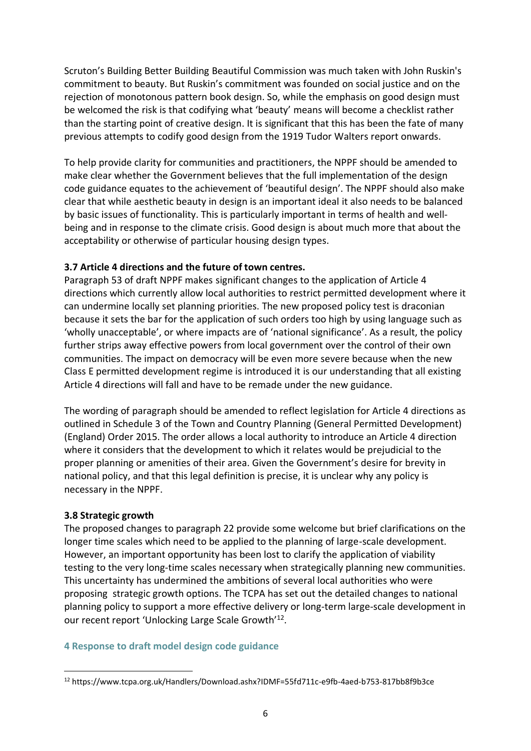Scruton's Building Better Building Beautiful Commission was much taken with John Ruskin's commitment to beauty. But Ruskin's commitment was founded on social justice and on the rejection of monotonous pattern book design. So, while the emphasis on good design must be welcomed the risk is that codifying what 'beauty' means will become a checklist rather than the starting point of creative design. It is significant that this has been the fate of many previous attempts to codify good design from the 1919 Tudor Walters report onwards.

To help provide clarity for communities and practitioners, the NPPF should be amended to make clear whether the Government believes that the full implementation of the design code guidance equates to the achievement of 'beautiful design'. The NPPF should also make clear that while aesthetic beauty in design is an important ideal it also needs to be balanced by basic issues of functionality. This is particularly important in terms of health and wellbeing and in response to the climate crisis. Good design is about much more that about the acceptability or otherwise of particular housing design types.

#### **3.7 Article 4 directions and the future of town centres.**

Paragraph 53 of draft NPPF makes significant changes to the application of Article 4 directions which currently allow local authorities to restrict permitted development where it can undermine locally set planning priorities. The new proposed policy test is draconian because it sets the bar for the application of such orders too high by using language such as 'wholly unacceptable', or where impacts are of 'national significance'. As a result, the policy further strips away effective powers from local government over the control of their own communities. The impact on democracy will be even more severe because when the new Class E permitted development regime is introduced it is our understanding that all existing Article 4 directions will fall and have to be remade under the new guidance.

The wording of paragraph should be amended to reflect legislation for Article 4 directions as outlined in Schedule 3 of the Town and Country Planning (General Permitted Development) (England) Order 2015. The order allows a local authority to introduce an Article 4 direction where it considers that the development to which it relates would be prejudicial to the proper planning or amenities of their area. Given the Government's desire for brevity in national policy, and that this legal definition is precise, it is unclear why any policy is necessary in the NPPF.

#### **3.8 Strategic growth**

The proposed changes to paragraph 22 provide some welcome but brief clarifications on the longer time scales which need to be applied to the planning of large-scale development. However, an important opportunity has been lost to clarify the application of viability testing to the very long-time scales necessary when strategically planning new communities. This uncertainty has undermined the ambitions of several local authorities who were proposing strategic growth options. The TCPA has set out the detailed changes to national planning policy to support a more effective delivery or long-term large-scale development in our recent report 'Unlocking Large Scale Growth'<sup>12</sup>.

#### **4 Response to draft model design code guidance**

<sup>12</sup> https://www.tcpa.org.uk/Handlers/Download.ashx?IDMF=55fd711c-e9fb-4aed-b753-817bb8f9b3ce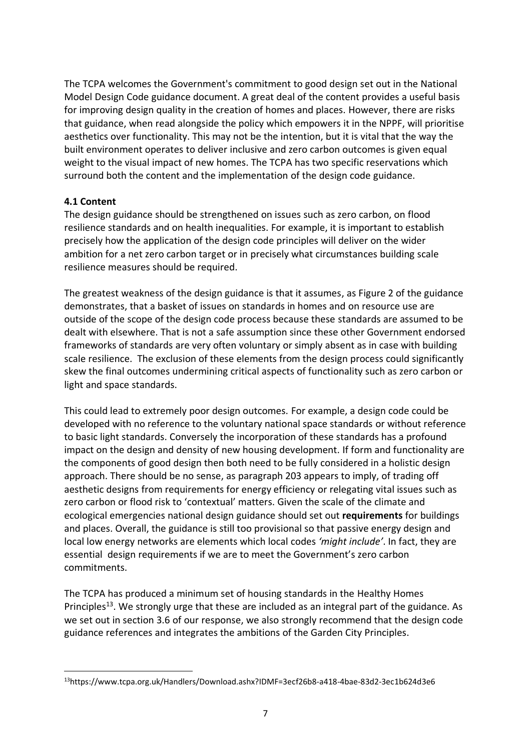The TCPA welcomes the Government's commitment to good design set out in the National Model Design Code guidance document. A great deal of the content provides a useful basis for improving design quality in the creation of homes and places. However, there are risks that guidance, when read alongside the policy which empowers it in the NPPF, will prioritise aesthetics over functionality. This may not be the intention, but it is vital that the way the built environment operates to deliver inclusive and zero carbon outcomes is given equal weight to the visual impact of new homes. The TCPA has two specific reservations which surround both the content and the implementation of the design code guidance.

## **4.1 Content**

The design guidance should be strengthened on issues such as zero carbon, on flood resilience standards and on health inequalities. For example, it is important to establish precisely how the application of the design code principles will deliver on the wider ambition for a net zero carbon target or in precisely what circumstances building scale resilience measures should be required.

The greatest weakness of the design guidance is that it assumes, as Figure 2 of the guidance demonstrates, that a basket of issues on standards in homes and on resource use are outside of the scope of the design code process because these standards are assumed to be dealt with elsewhere. That is not a safe assumption since these other Government endorsed frameworks of standards are very often voluntary or simply absent as in case with building scale resilience. The exclusion of these elements from the design process could significantly skew the final outcomes undermining critical aspects of functionality such as zero carbon or light and space standards.

This could lead to extremely poor design outcomes. For example, a design code could be developed with no reference to the voluntary national space standards or without reference to basic light standards. Conversely the incorporation of these standards has a profound impact on the design and density of new housing development. If form and functionality are the components of good design then both need to be fully considered in a holistic design approach. There should be no sense, as paragraph 203 appears to imply, of trading off aesthetic designs from requirements for energy efficiency or relegating vital issues such as zero carbon or flood risk to 'contextual' matters. Given the scale of the climate and ecological emergencies national design guidance should set out **requirements** for buildings and places. Overall, the guidance is still too provisional so that passive energy design and local low energy networks are elements which local codes *'might include'*. In fact, they are essential design requirements if we are to meet the Government's zero carbon commitments.

The TCPA has produced a minimum set of housing standards in the Healthy Homes Principles<sup>13</sup>. We strongly urge that these are included as an integral part of the guidance. As we set out in section 3.6 of our response, we also strongly recommend that the design code guidance references and integrates the ambitions of the Garden City Principles.

<sup>13</sup>https://www.tcpa.org.uk/Handlers/Download.ashx?IDMF=3ecf26b8-a418-4bae-83d2-3ec1b624d3e6